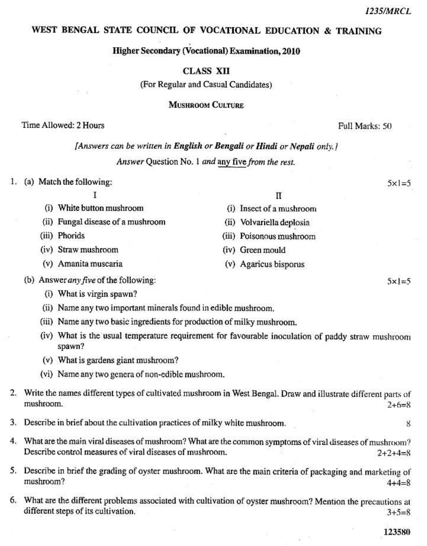# WEST BENGAL STATE COUNCIL OF VOCATIONAL EDUCATION & TRAINING

### Higher Secondary (Vocational) Examination, 2010

# **CLASS XII**

(For Regular and Casual Candidates)

#### **MISHROOM CULTURE**

## Time Allowed: 2 Hours

Full Marks: 50

# [Answers can be written in English or Bengali or Hindi or Nepali only.]

Answer Question No. 1 and any five from the rest.

 $\Pi$ 

(i) Insect of a mushroom

(ii) Volvariella deplosia

(iii) Poisonous mushroom

(v) Agaricus bisporus

(iv) Green mould

1. (a) Match the following:

 $5x = 5$ 

 $5x = 5$ 

- T (i) White button mushroom
- (ii) Fungal disease of a mushroom
- (iii) Phorids
- (iv) Straw mushroom
- (v) Amanita muscaria
- (b) Answer any five of the following:
	- (i) What is virgin spawn?
	- (ii) Name any two important minerals found in edible mushroom.
	- (iii) Name any two basic ingredients for production of milky mushroom.
	- (iv) What is the usual temperature requirement for favourable inoculation of paddy straw mushroom spawn?
	- (v) What is gardens giant mushroom?
	- (vi) Name any two genera of non-edible mushroom.
- 2. Write the names different types of cultivated mushroom in West Bengal. Draw and illustrate different parts of mushroom.  $2+6=8$
- 3. Describe in brief about the cultivation practices of milky white mushroom.
- 4. What are the main viral diseases of mushroom? What are the common symptoms of viral diseases of mushroom? Describe control measures of viral diseases of mushroom.  $2 + 2 + 4 = 8$
- 5. Describe in brief the grading of oyster mushroom. What are the main criteria of packaging and marketing of mushroom?  $4 + 4 = 8$
- 6. What are the different problems associated with cultivation of oyster mushroom? Mention the precautions at different steps of its cultivation.  $3 + 5 = 8$

 $\mathbf{g}$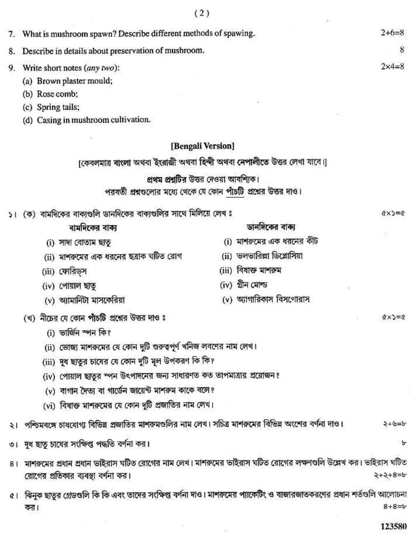|    |                                                                                                                                                                | (2)                                                                      |                                 |
|----|----------------------------------------------------------------------------------------------------------------------------------------------------------------|--------------------------------------------------------------------------|---------------------------------|
|    | 7. What is mushroom spawn? Describe different methods of spawing.                                                                                              |                                                                          |                                 |
| 8. | Describe in details about preservation of mushroom.                                                                                                            |                                                                          | 8                               |
| 9. | Write short notes (any two):                                                                                                                                   |                                                                          | $2 \times 4 = 8$                |
|    | (a) Brown plaster mould;                                                                                                                                       |                                                                          |                                 |
|    | (b) Rose comb;                                                                                                                                                 |                                                                          |                                 |
|    | (c) Spring tails;                                                                                                                                              |                                                                          |                                 |
|    | (d) Casing in mushroom cultivation.                                                                                                                            |                                                                          |                                 |
|    |                                                                                                                                                                | [Bengali Version]                                                        |                                 |
|    |                                                                                                                                                                | [কেবলমাত্র বাংলা অথবা ইংরাজী অথবা হিন্দী অথবা নেপালীতে উত্তর লেখা যাবে।] |                                 |
|    |                                                                                                                                                                | প্রথম প্রশ্নটির উত্তর দেওয়া আবশ্যিক।                                    |                                 |
|    |                                                                                                                                                                | পরবর্তী প্রশ্নগুলোর মধ্যে থেকে যে কোন পাঁচটি প্রশ্নের উত্তর দাও।         |                                 |
|    | (ক) বামদিকের বাক্যগুলি ডানদিকের বাক্যগুলির সাথে মিলিয়ে লেখ ঃ                                                                                                  |                                                                          | $(x \times y) = 0$              |
|    | বামদিকের বাক্য                                                                                                                                                 | ডানদিকের বাক্য                                                           |                                 |
|    | (i) সাদা বোতাম ছাতূ                                                                                                                                            | (i) মাশরুমের এক ধরনের কীট                                                |                                 |
|    | (ii) মাশরুমের এক ধরনের ছত্রাক ঘটিত রোগ                                                                                                                         | (ii) ভলভারিল্লা ডিপ্লোসিয়া                                              |                                 |
|    | (iii) ফোরিড্স                                                                                                                                                  | (iii) বিষাক্ত মাশরুম                                                     |                                 |
|    | (iv) পোয়াল ছাতু                                                                                                                                               | (iv) গ্ৰীন মোল্ড                                                         |                                 |
|    | (v) অ্যামানিটা মাসকেরিয়া                                                                                                                                      | (v) অ্যাগারিকাস বিসগোরাস                                                 |                                 |
|    | (খ) নীচের যে কোন পাঁচটি প্রশ্নের উত্তর দাও ঃ                                                                                                                   |                                                                          | $\alpha \times \alpha = \alpha$ |
|    | (i) ভাৰ্জিন স্পন কি?                                                                                                                                           |                                                                          |                                 |
|    | (ii) ভোজ্য মাশরুমের যে কোন দুটি গুরুত্বপূর্ণ খনিজ লবণের নাম লেখ।                                                                                               |                                                                          |                                 |
|    | (iii) দুধ ছাতুর চাষের যে কোন দুটি মূল উপকরণ কি কি?                                                                                                             |                                                                          |                                 |
|    | (iv) পোয়াল ছাতুর স্পন উৎপাদনের জন্য সাধারণত কত তাপমাত্রার প্রয়োজন?                                                                                           |                                                                          |                                 |
|    | (v) বাগান দৈত্য বা গার্ডেন জায়েন্ট মাশরুম কাকে বলে?                                                                                                           |                                                                          |                                 |
|    | (vi) বিষাক্ত মাশরুমের যে কোন দুটি প্রজাতির নাম লেখ।                                                                                                            |                                                                          |                                 |
|    | ২।  পশ্চিমবঙ্গে চাষযোগ্য বিভিন্ন প্রজাতির মাশরুমগুলির নাম লেখ। সচিত্র মাশরুমের বিভিন্ন অংশের বর্ণনা দাও।                                                       |                                                                          | マーシャシ                           |
|    | দুধ ছাতু চাষের সংক্ষিপ্ত পদ্ধতি বর্ণনা কর।                                                                                                                     |                                                                          | Ъ                               |
| 81 | মাশরুমের প্রধান প্রধান ভাইরাস ঘটিত রোগের নাম লেখ। মাশরুমের ভাইরাস ঘটিত রোগের লক্ষণগুলি উল্লেখ কর। ভাইরাস ঘটিত<br>রোগের প্রতিকার ব্যবস্থা বর্ণনা কর।<br>2+2+8=4 |                                                                          |                                 |
|    | ৫।  ঝিনুক ছাতুর গ্রেডগুলি কি কি এবং তাদের সংক্ষিপ্ত বর্ণনা দাও। মাশরুমের প্যাকেটিং ও বাজারজাতকরণের প্রধান শর্তগুলি আলোচনা<br>কর।                               |                                                                          | $8 + 8 = b$                     |

 $\sim 10^{-10}$  km  $^{-1}$ 

123580